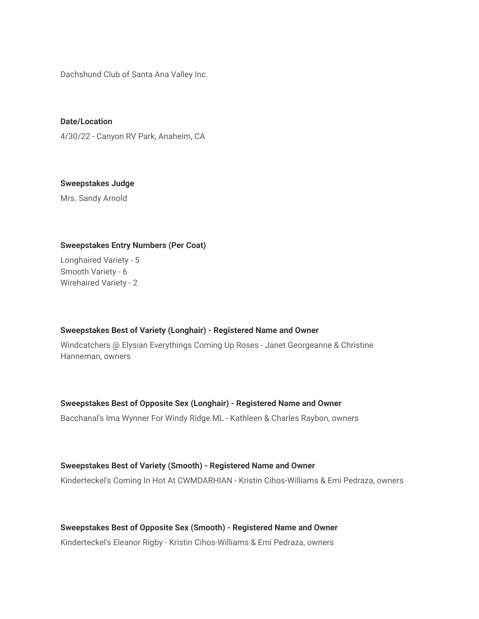Dachshund Club of Santa Ana Valley Inc.

**Date/Location** 4/30/22 - Canyon RV Park, Anaheim, CA

**Sweepstakes Judge**

Mrs. Sandy Arnold

## **Sweepstakes Entry Numbers (Per Coat)**

Longhaired Variety - 5 Smooth Variety - 6 Wirehaired Variety - 2

#### **Sweepstakes Best of Variety (Longhair) - Registered Name and Owner**

Windcatchers @ Elysian Everythings Coming Up Roses - Janet Georgeanne & Christine Hanneman, owners

## **Sweepstakes Best of Opposite Sex (Longhair) - Registered Name and Owner**

Bacchanal's Ima Wynner For Windy Ridge ML - Kathleen & Charles Raybon, owners

## **Sweepstakes Best of Variety (Smooth) - Registered Name and Owner**

Kinderteckel's Coming In Hot At CWMDARHIAN - Kristin Cihos-Williams & Emi Pedraza, owners

## **Sweepstakes Best of Opposite Sex (Smooth) - Registered Name and Owner**

Kinderteckel's Eleanor Rigby - Kristin Cihos-Williams & Emi Pedraza, owners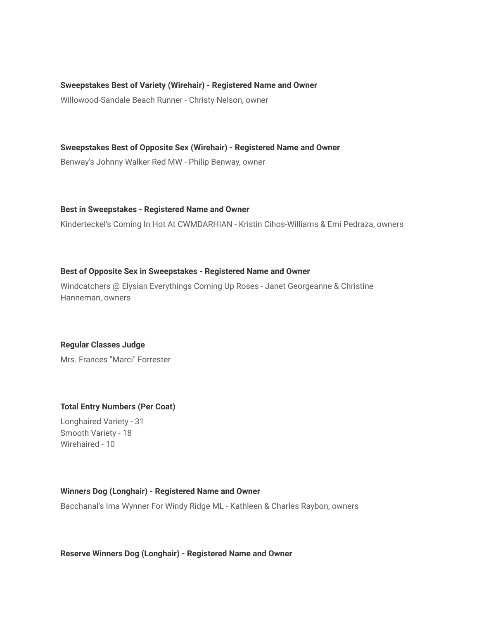### **Sweepstakes Best of Variety (Wirehair) - Registered Name and Owner**

Willowood-Sandale Beach Runner - Christy Nelson, owner

**Sweepstakes Best of Opposite Sex (Wirehair) - Registered Name and Owner**

Benway's Johnny Walker Red MW - Philip Benway, owner

**Best in Sweepstakes - Registered Name and Owner**

Kinderteckel's Coming In Hot At CWMDARHIAN - Kristin Cihos-Williams & Emi Pedraza, owners

## **Best of Opposite Sex in Sweepstakes - Registered Name and Owner**

Windcatchers @ Elysian Everythings Coming Up Roses - Janet Georgeanne & Christine Hanneman, owners

## **Regular Classes Judge**

Mrs. Frances "Marci" Forrester

## **Total Entry Numbers (Per Coat)**

Longhaired Variety - 31 Smooth Variety - 18 Wirehaired - 10

#### **Winners Dog (Longhair) - Registered Name and Owner**

Bacchanal's Ima Wynner For Windy Ridge ML - Kathleen & Charles Raybon, owners

#### **Reserve Winners Dog (Longhair) - Registered Name and Owner**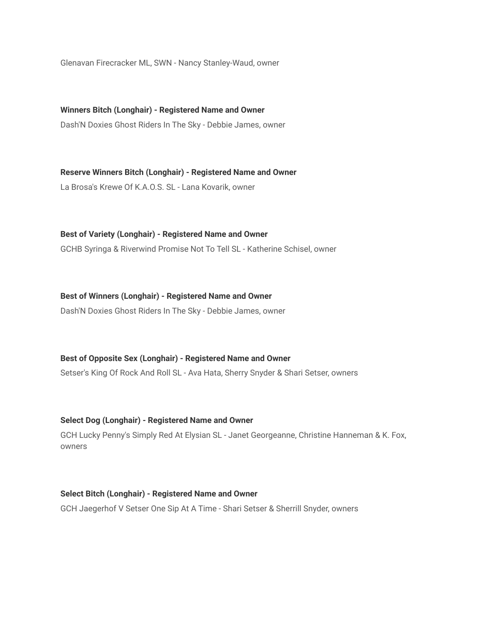Glenavan Firecracker ML, SWN - Nancy Stanley-Waud, owner

**Winners Bitch (Longhair) - Registered Name and Owner** Dash'N Doxies Ghost Riders In The Sky - Debbie James, owner

**Reserve Winners Bitch (Longhair) - Registered Name and Owner** La Brosa's Krewe Of K.A.O.S. SL - Lana Kovarik, owner

**Best of Variety (Longhair) - Registered Name and Owner**

GCHB Syringa & Riverwind Promise Not To Tell SL - Katherine Schisel, owner

**Best of Winners (Longhair) - Registered Name and Owner**

Dash'N Doxies Ghost Riders In The Sky - Debbie James, owner

**Best of Opposite Sex (Longhair) - Registered Name and Owner**

Setser's King Of Rock And Roll SL - Ava Hata, Sherry Snyder & Shari Setser, owners

**Select Dog (Longhair) - Registered Name and Owner**

GCH Lucky Penny's Simply Red At Elysian SL - Janet Georgeanne, Christine Hanneman & K. Fox, owners

**Select Bitch (Longhair) - Registered Name and Owner** GCH Jaegerhof V Setser One Sip At A Time - Shari Setser & Sherrill Snyder, owners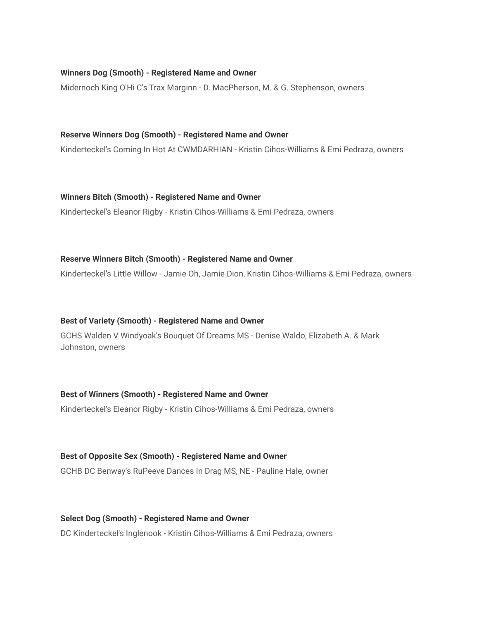## **Winners Dog (Smooth) - Registered Name and Owner**

Midernoch King O'Hi C's Trax Marginn - D. MacPherson, M. & G. Stephenson, owners

#### **Reserve Winners Dog (Smooth) - Registered Name and Owner**

Kinderteckel's Coming In Hot At CWMDARHIAN - Kristin Cihos-Williams & Emi Pedraza, owners

#### **Winners Bitch (Smooth) - Registered Name and Owner**

Kinderteckel's Eleanor Rigby - Kristin Cihos-Williams & Emi Pedraza, owners

#### **Reserve Winners Bitch (Smooth) - Registered Name and Owner**

Kinderteckel's Little Willow - Jamie Oh, Jamie Dion, Kristin Cihos-Williams & Emi Pedraza, owners

#### **Best of Variety (Smooth) - Registered Name and Owner**

GCHS Walden V Windyoak's Bouquet Of Dreams MS - Denise Waldo, Elizabeth A. & Mark Johnston, owners

# **Best of Winners (Smooth) - Registered Name and Owner**

Kinderteckel's Eleanor Rigby - Kristin Cihos-Williams & Emi Pedraza, owners

#### **Best of Opposite Sex (Smooth) - Registered Name and Owner**

GCHB DC Benway's RuPeeve Dances In Drag MS, NE - Pauline Hale, owner

## **Select Dog (Smooth) - Registered Name and Owner**

DC Kinderteckel's Inglenook - Kristin Cihos-Williams & Emi Pedraza, owners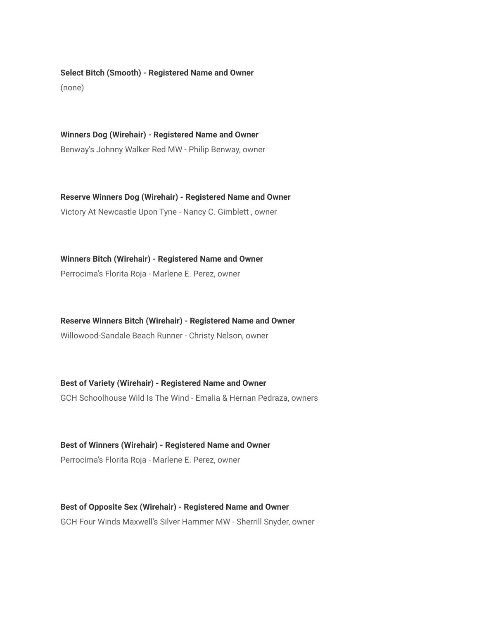**Select Bitch (Smooth) - Registered Name and Owner** (none)

**Winners Dog (Wirehair) - Registered Name and Owner** Benway's Johnny Walker Red MW - Philip Benway, owner

**Reserve Winners Dog (Wirehair) - Registered Name and Owner** Victory At Newcastle Upon Tyne - Nancy C. Gimblett , owner

**Winners Bitch (Wirehair) - Registered Name and Owner** Perrocima's Florita Roja - Marlene E. Perez, owner

**Reserve Winners Bitch (Wirehair) - Registered Name and Owner** Willowood-Sandale Beach Runner - Christy Nelson, owner

**Best of Variety (Wirehair) - Registered Name and Owner** GCH Schoolhouse Wild Is The Wind - Emalia & Hernan Pedraza, owners

**Best of Winners (Wirehair) - Registered Name and Owner** Perrocima's Florita Roja - Marlene E. Perez, owner

**Best of Opposite Sex (Wirehair) - Registered Name and Owner** GCH Four Winds Maxwell's Silver Hammer MW - Sherrill Snyder, owner